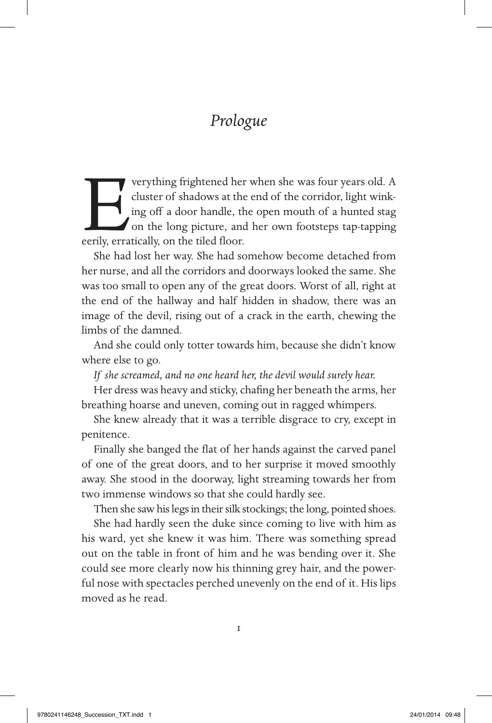## *Prologue*

verything frightened her when she was four years old. A cluster of shadows at the end of the corridor, light winking off a door handle, the open mouth of a hunted stag on the long picture, and her own footsteps tap-tapping cluster of shadows at the end of the corridor, light winking off a door handle, the open mouth of a hunted stag on the long picture, and her own footsteps tap-tapping eerily, erratically, on the tiled floor.

She had lost her way. She had somehow become detached from her nurse, and all the corridors and doorways looked the same. She was too small to open any of the great doors. Worst of all, right at the end of the hallway and half hidden in shadow, there was an image of the devil, rising out of a crack in the earth, chewing the limbs of the damned.

And she could only totter towards him, because she didn't know where else to go.

*If she screamed, and no one heard her, the devil would surely hear.*

Her dress was heavy and sticky, chafing her beneath the arms, her breathing hoarse and uneven, coming out in ragged whimpers.

She knew already that it was a terrible disgrace to cry, except in penitence.

Finally she banged the flat of her hands against the carved panel of one of the great doors, and to her surprise it moved smoothly away. She stood in the doorway, light streaming towards her from two immense windows so that she could hardly see.

Then she saw his legs in their silk stockings; the long, pointed shoes. She had hardly seen the duke since coming to live with him as his ward, yet she knew it was him. There was something spread out on the table in front of him and he was bending over it. She could see more clearly now his thinning grey hair, and the powerful nose with spectacles perched unevenly on the end of it. His lips moved as he read.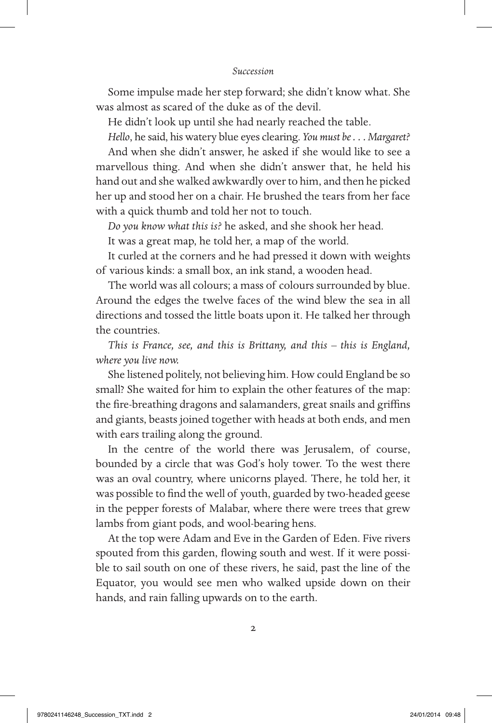## *Succession*

Some impulse made her step forward; she didn't know what. She was almost as scared of the duke as of the devil.

He didn't look up until she had nearly reached the table.

*Hello*, he said, his watery blue eyes clearing. *You must be . . . Margaret?* And when she didn't answer, he asked if she would like to see a marvellous thing. And when she didn't answer that, he held his hand out and she walked awkwardly over to him, and then he picked her up and stood her on a chair. He brushed the tears from her face with a quick thumb and told her not to touch.

*Do you know what this is?* he asked, and she shook her head.

It was a great map, he told her, a map of the world.

It curled at the corners and he had pressed it down with weights of various kinds: a small box, an ink stand, a wooden head.

The world was all colours; a mass of colours surrounded by blue. Around the edges the twelve faces of the wind blew the sea in all directions and tossed the little boats upon it. He talked her through the countries.

*This is France, see, and this is Brittany, and this – this is England, where you live now.*

She listened politely, not believing him. How could England be so small? She waited for him to explain the other features of the map: the fire-breathing dragons and salamanders, great snails and griffins and giants, beasts joined together with heads at both ends, and men with ears trailing along the ground.

In the centre of the world there was Jerusalem, of course, bounded by a circle that was God's holy tower. To the west there was an oval country, where unicorns played. There, he told her, it was possible to find the well of youth, guarded by two-headed geese in the pepper forests of Malabar, where there were trees that grew lambs from giant pods, and wool-bearing hens.

At the top were Adam and Eve in the Garden of Eden. Five rivers spouted from this garden, flowing south and west. If it were possible to sail south on one of these rivers, he said, past the line of the Equator, you would see men who walked upside down on their hands, and rain falling upwards on to the earth.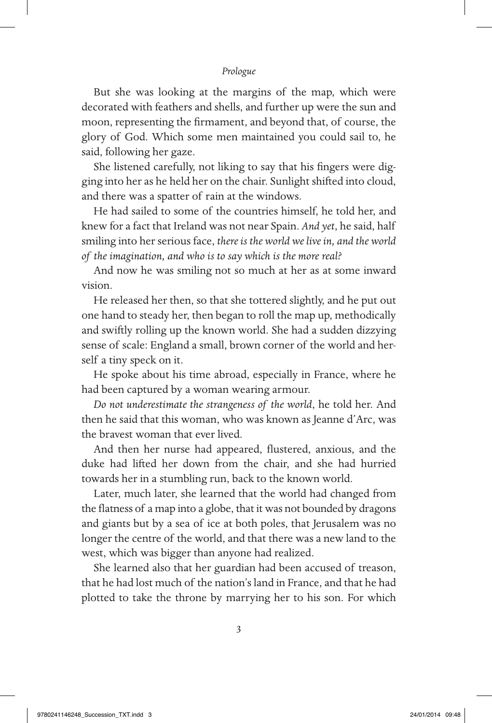## *Prologue*

But she was looking at the margins of the map, which were decorated with feathers and shells, and further up were the sun and moon, representing the firmament, and beyond that, of course, the glory of God. Which some men maintained you could sail to, he said, following her gaze.

She listened carefully, not liking to say that his fingers were digging into her as he held her on the chair. Sunlight shifted into cloud, and there was a spatter of rain at the windows.

He had sailed to some of the countries himself, he told her, and knew for a fact that Ireland was not near Spain. *And yet*, he said, half smiling into her serious face, *there is the world we live in, and the world of the imagination, and who is to say which is the more real?*

And now he was smiling not so much at her as at some inward vision.

He released her then, so that she tottered slightly, and he put out one hand to steady her, then began to roll the map up, methodically and swiftly rolling up the known world. She had a sudden dizzying sense of scale: England a small, brown corner of the world and herself a tiny speck on it.

He spoke about his time abroad, especially in France, where he had been captured by a woman wearing armour.

*Do not underestimate the strangeness of the world*, he told her. And then he said that this woman, who was known as Jeanne d'Arc, was the bravest woman that ever lived.

And then her nurse had appeared, flustered, anxious, and the duke had lifted her down from the chair, and she had hurried towards her in a stumbling run, back to the known world.

Later, much later, she learned that the world had changed from the flatness of a map into a globe, that it was not bounded by dragons and giants but by a sea of ice at both poles, that Jerusalem was no longer the centre of the world, and that there was a new land to the west, which was bigger than anyone had realized.

She learned also that her guardian had been accused of treason, that he had lost much of the nation's land in France, and that he had plotted to take the throne by marrying her to his son. For which